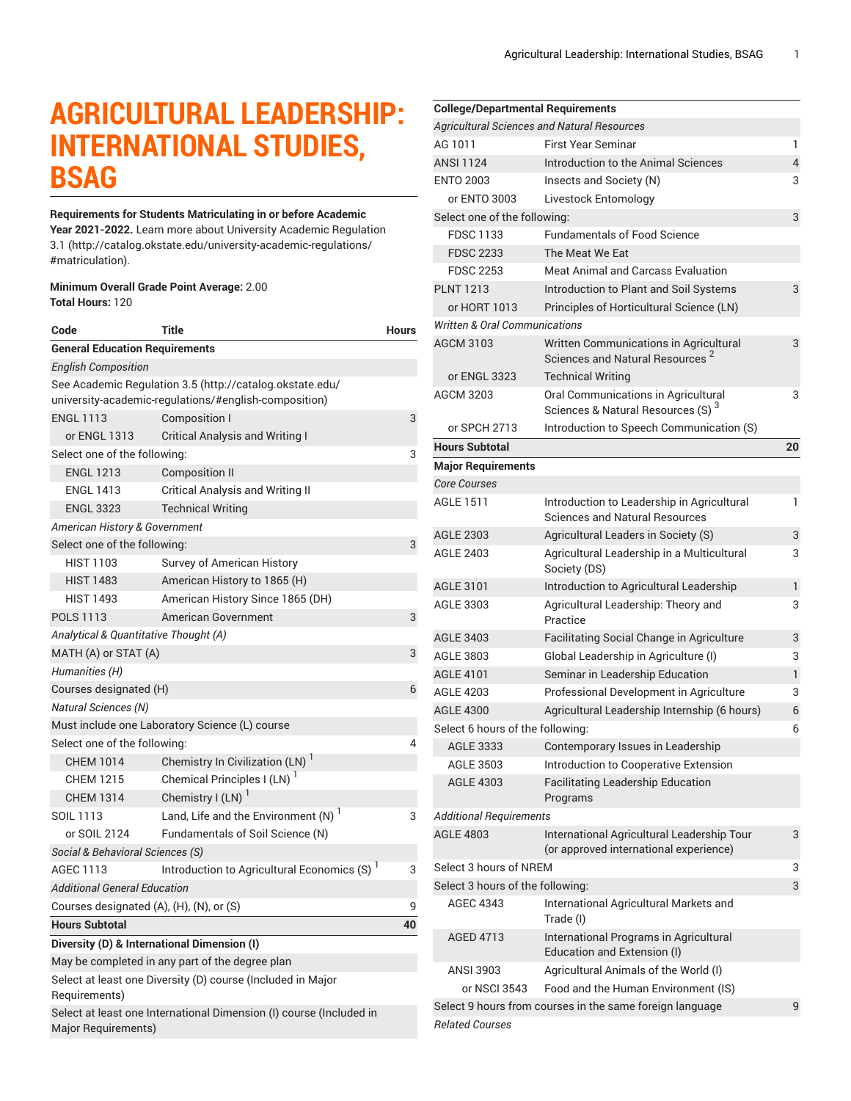# **AGRICULTURAL LEADERSHIP: INTERNATIONAL STUDIES, BSAG**

### **Requirements for Students Matriculating in or before Academic**

**Year 2021-2022.** Learn more about University Academic [Regulation](http://catalog.okstate.edu/university-academic-regulations/#matriculation) [3.1](http://catalog.okstate.edu/university-academic-regulations/#matriculation) ([http://catalog.okstate.edu/university-academic-regulations/](http://catalog.okstate.edu/university-academic-regulations/#matriculation) [#matriculation\)](http://catalog.okstate.edu/university-academic-regulations/#matriculation).

#### **Minimum Overall Grade Point Average:** 2.00 **Total Hours:** 120

| Code                                                                                                              | Title                                                   | <b>Hours</b> |  |
|-------------------------------------------------------------------------------------------------------------------|---------------------------------------------------------|--------------|--|
| <b>General Education Requirements</b>                                                                             |                                                         |              |  |
| <b>English Composition</b>                                                                                        |                                                         |              |  |
| See Academic Regulation 3.5 (http://catalog.okstate.edu/<br>university-academic-regulations/#english-composition) |                                                         |              |  |
| <b>ENGL 1113</b>                                                                                                  | Composition I                                           | 3            |  |
| or ENGL 1313                                                                                                      | <b>Critical Analysis and Writing I</b>                  |              |  |
| Select one of the following:                                                                                      |                                                         |              |  |
| <b>ENGL 1213</b>                                                                                                  | <b>Composition II</b>                                   |              |  |
| <b>ENGL 1413</b>                                                                                                  | <b>Critical Analysis and Writing II</b>                 |              |  |
| <b>ENGL 3323</b>                                                                                                  | <b>Technical Writing</b>                                |              |  |
| American History & Government                                                                                     |                                                         |              |  |
| Select one of the following:                                                                                      |                                                         |              |  |
| <b>HIST 1103</b>                                                                                                  | Survey of American History                              |              |  |
| <b>HIST 1483</b>                                                                                                  | American History to 1865 (H)                            |              |  |
| <b>HIST 1493</b>                                                                                                  | American History Since 1865 (DH)                        |              |  |
| <b>POLS 1113</b>                                                                                                  | American Government                                     | 3            |  |
| Analytical & Quantitative Thought (A)                                                                             |                                                         |              |  |
| MATH (A) or STAT (A)<br>3                                                                                         |                                                         |              |  |
| Humanities (H)                                                                                                    |                                                         |              |  |
| Courses designated (H)                                                                                            |                                                         | 6            |  |
| <b>Natural Sciences (N)</b>                                                                                       |                                                         |              |  |
| Must include one Laboratory Science (L) course                                                                    |                                                         |              |  |
| Select one of the following:<br>4                                                                                 |                                                         |              |  |
| <b>CHEM 1014</b>                                                                                                  | Chemistry In Civilization (LN) <sup>1</sup>             |              |  |
| <b>CHEM 1215</b>                                                                                                  | Chemical Principles I (LN)                              |              |  |
| <b>CHEM 1314</b>                                                                                                  | Chemistry $I(LN)$ <sup>1</sup>                          |              |  |
| SOIL 1113                                                                                                         | Land, Life and the Environment $(N)$ <sup>1</sup>       | 3            |  |
| or SOIL 2124                                                                                                      | Fundamentals of Soil Science (N)                        |              |  |
| Social & Behavioral Sciences (S)                                                                                  |                                                         |              |  |
| <b>AGEC 1113</b>                                                                                                  | Introduction to Agricultural Economics (S) <sup>1</sup> | 3            |  |
| <b>Additional General Education</b>                                                                               |                                                         |              |  |
| Courses designated (A), (H), (N), or (S)                                                                          |                                                         | 9            |  |
| <b>Hours Subtotal</b>                                                                                             |                                                         | 40           |  |
|                                                                                                                   | Diversity (D) & International Dimension (I)             |              |  |
| May be completed in any part of the degree plan                                                                   |                                                         |              |  |
| Select at least one Diversity (D) course (Included in Major                                                       |                                                         |              |  |
| Requirements)                                                                                                     |                                                         |              |  |
| Select at least one International Dimension (I) course (Included in<br>Major Requirements)                        |                                                         |              |  |

| <b>College/Departmental Requirements</b> |                                                                                       |    |  |
|------------------------------------------|---------------------------------------------------------------------------------------|----|--|
|                                          | <b>Agricultural Sciences and Natural Resources</b>                                    |    |  |
| AG 1011                                  | <b>First Year Seminar</b>                                                             | 1  |  |
| <b>ANSI 1124</b>                         | Introduction to the Animal Sciences                                                   | 4  |  |
| <b>ENTO 2003</b>                         | Insects and Society (N)                                                               | 3  |  |
| or ENTO 3003                             | Livestock Entomology                                                                  |    |  |
| Select one of the following:             |                                                                                       | 3  |  |
| <b>FDSC 1133</b>                         | <b>Fundamentals of Food Science</b>                                                   |    |  |
| <b>FDSC 2233</b>                         | The Meat We Eat                                                                       |    |  |
| <b>FDSC 2253</b>                         | <b>Meat Animal and Carcass Evaluation</b>                                             |    |  |
| <b>PLNT 1213</b>                         | Introduction to Plant and Soil Systems                                                | 3  |  |
| or HORT 1013                             | Principles of Horticultural Science (LN)                                              |    |  |
| <b>Written &amp; Oral Communications</b> |                                                                                       |    |  |
| <b>AGCM 3103</b>                         | Written Communications in Agricultural<br>Sciences and Natural Resources <sup>2</sup> | 3  |  |
| or ENGL 3323                             | <b>Technical Writing</b>                                                              |    |  |
| AGCM 3203                                | Oral Communications in Agricultural<br>Sciences & Natural Resources (S) <sup>3</sup>  | 3  |  |
| or SPCH 2713                             | Introduction to Speech Communication (S)                                              |    |  |
| <b>Hours Subtotal</b>                    |                                                                                       | 20 |  |
| <b>Major Requirements</b>                |                                                                                       |    |  |
| <b>Core Courses</b>                      |                                                                                       |    |  |
| <b>AGLE 1511</b>                         | Introduction to Leadership in Agricultural<br><b>Sciences and Natural Resources</b>   | 1  |  |
| <b>AGLE 2303</b>                         | Agricultural Leaders in Society (S)                                                   | 3  |  |
| <b>AGLE 2403</b>                         | Agricultural Leadership in a Multicultural<br>Society (DS)                            | 3  |  |
| AGLE 3101                                | Introduction to Agricultural Leadership                                               | 1  |  |
| AGLE 3303                                | Agricultural Leadership: Theory and<br>Practice                                       | 3  |  |
| <b>AGLE 3403</b>                         | Facilitating Social Change in Agriculture                                             | 3  |  |
| AGLE 3803                                | Global Leadership in Agriculture (I)                                                  | 3  |  |
| <b>AGLE 4101</b>                         | Seminar in Leadership Education                                                       | 1  |  |
| <b>AGLE 4203</b>                         | Professional Development in Agriculture                                               | 3  |  |
| <b>AGLE 4300</b>                         | Agricultural Leadership Internship (6 hours)                                          | 6  |  |
| Select 6 hours of the following:         |                                                                                       | 6  |  |
| <b>AGLE 3333</b>                         | Contemporary Issues in Leadership                                                     |    |  |
| <b>AGLE 3503</b>                         | Introduction to Cooperative Extension                                                 |    |  |
| <b>AGLE 4303</b>                         | <b>Facilitating Leadership Education</b><br>Programs                                  |    |  |
| <b>Additional Requirements</b>           |                                                                                       |    |  |
| <b>AGLE 4803</b>                         | International Agricultural Leadership Tour<br>(or approved international experience)  | 3  |  |
| Select 3 hours of NREM                   |                                                                                       | 3  |  |
| Select 3 hours of the following:         |                                                                                       | 3  |  |
| <b>AGEC 4343</b>                         | International Agricultural Markets and<br>Trade (I)                                   |    |  |
| <b>AGED 4713</b>                         | International Programs in Agricultural<br>Education and Extension (I)                 |    |  |
| ANSI 3903                                | Agricultural Animals of the World (I)                                                 |    |  |
| or NSCI 3543                             | Food and the Human Environment (IS)                                                   |    |  |
|                                          | Select 9 hours from courses in the same foreign language                              | 9  |  |
| <b>Related Courses</b>                   |                                                                                       |    |  |